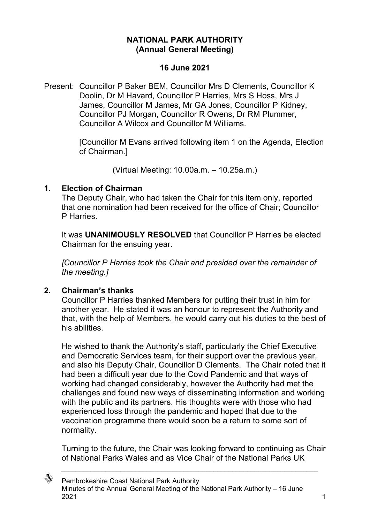## **NATIONAL PARK AUTHORITY (Annual General Meeting)**

### **16 June 2021**

Present: Councillor P Baker BEM, Councillor Mrs D Clements, Councillor K Doolin, Dr M Havard, Councillor P Harries, Mrs S Hoss, Mrs J James, Councillor M James, Mr GA Jones, Councillor P Kidney, Councillor PJ Morgan, Councillor R Owens, Dr RM Plummer, Councillor A Wilcox and Councillor M Williams.

> [Councillor M Evans arrived following item 1 on the Agenda, Election of Chairman.]

> > (Virtual Meeting: 10.00a.m. – 10.25a.m.)

## **1. Election of Chairman**

The Deputy Chair, who had taken the Chair for this item only, reported that one nomination had been received for the office of Chair; Councillor P Harries.

It was **UNANIMOUSLY RESOLVED** that Councillor P Harries be elected Chairman for the ensuing year.

*[Councillor P Harries took the Chair and presided over the remainder of the meeting.]*

## **2. Chairman's thanks**

Councillor P Harries thanked Members for putting their trust in him for another year. He stated it was an honour to represent the Authority and that, with the help of Members, he would carry out his duties to the best of his abilities.

He wished to thank the Authority's staff, particularly the Chief Executive and Democratic Services team, for their support over the previous year, and also his Deputy Chair, Councillor D Clements. The Chair noted that it had been a difficult year due to the Covid Pandemic and that ways of working had changed considerably, however the Authority had met the challenges and found new ways of disseminating information and working with the public and its partners. His thoughts were with those who had experienced loss through the pandemic and hoped that due to the vaccination programme there would soon be a return to some sort of normality.

Turning to the future, the Chair was looking forward to continuing as Chair of National Parks Wales and as Vice Chair of the National Parks UK

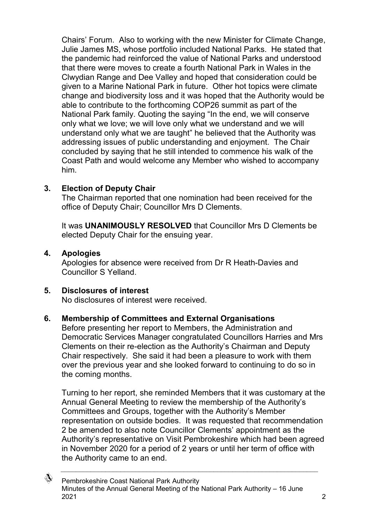Chairs' Forum. Also to working with the new Minister for Climate Change, Julie James MS, whose portfolio included National Parks. He stated that the pandemic had reinforced the value of National Parks and understood that there were moves to create a fourth National Park in Wales in the Clwydian Range and Dee Valley and hoped that consideration could be given to a Marine National Park in future. Other hot topics were climate change and biodiversity loss and it was hoped that the Authority would be able to contribute to the forthcoming COP26 summit as part of the National Park family. Quoting the saying "In the end, we will conserve only what we love; we will love only what we understand and we will understand only what we are taught" he believed that the Authority was addressing issues of public understanding and enjoyment. The Chair concluded by saying that he still intended to commence his walk of the Coast Path and would welcome any Member who wished to accompany him.

## **3. Election of Deputy Chair**

The Chairman reported that one nomination had been received for the office of Deputy Chair; Councillor Mrs D Clements.

It was **UNANIMOUSLY RESOLVED** that Councillor Mrs D Clements be elected Deputy Chair for the ensuing year.

## **4. Apologies**

Apologies for absence were received from Dr R Heath-Davies and Councillor S Yelland.

## **5. Disclosures of interest**

No disclosures of interest were received.

#### **6. Membership of Committees and External Organisations**

Before presenting her report to Members, the Administration and Democratic Services Manager congratulated Councillors Harries and Mrs Clements on their re-election as the Authority's Chairman and Deputy Chair respectively. She said it had been a pleasure to work with them over the previous year and she looked forward to continuing to do so in the coming months.

Turning to her report, she reminded Members that it was customary at the Annual General Meeting to review the membership of the Authority's Committees and Groups, together with the Authority's Member representation on outside bodies. It was requested that recommendation 2 be amended to also note Councillor Clements' appointment as the Authority's representative on Visit Pembrokeshire which had been agreed in November 2020 for a period of 2 years or until her term of office with the Authority came to an end.

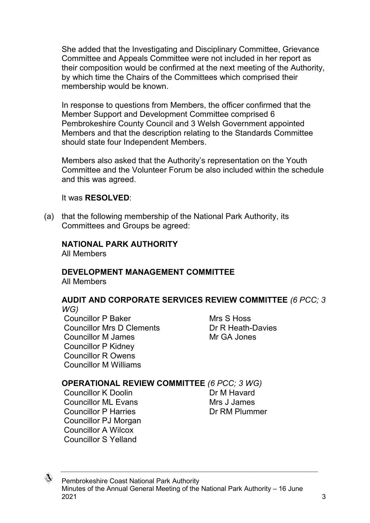She added that the Investigating and Disciplinary Committee, Grievance Committee and Appeals Committee were not included in her report as their composition would be confirmed at the next meeting of the Authority, by which time the Chairs of the Committees which comprised their membership would be known.

In response to questions from Members, the officer confirmed that the Member Support and Development Committee comprised 6 Pembrokeshire County Council and 3 Welsh Government appointed Members and that the description relating to the Standards Committee should state four Independent Members.

Members also asked that the Authority's representation on the Youth Committee and the Volunteer Forum be also included within the schedule and this was agreed.

#### It was **RESOLVED**:

(a) that the following membership of the National Park Authority, its Committees and Groups be agreed:

## **NATIONAL PARK AUTHORITY**

All Members

## **DEVELOPMENT MANAGEMENT COMMITTEE**

All Members

#### **AUDIT AND CORPORATE SERVICES REVIEW COMMITTEE** *(6 PCC; 3 WG)*

Councillor P Baker Mrs S Hoss Councillor Mrs D Clements **Dr R Heath-Davies** Councillor M James Mr GA Jones Councillor P Kidney Councillor R Owens Councillor M Williams

#### **OPERATIONAL REVIEW COMMITTEE** *(6 PCC; 3 WG)*

Councillor K Doolin **Dr M Havard** Councillor ML Evans Mrs J James Councillor P Harries **DR RM Plummer** Councillor PJ Morgan Councillor A Wilcox Councillor S Yelland



Pembrokeshire Coast National Park Authority Minutes of the Annual General Meeting of the National Park Authority – 16 June  $2021$  3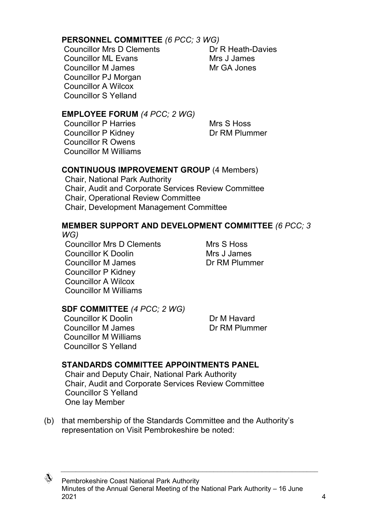## **PERSONNEL COMMITTEE** *(6 PCC; 3 WG)*

Councillor Mrs D Clements Dr R Heath-Davies Councillor ML Evans Music Mrs J James Councillor M James Manuel Mr GA Jones Councillor PJ Morgan Councillor A Wilcox Councillor S Yelland

### **EMPLOYEE FORUM** *(4 PCC; 2 WG)*

Councillor P Harries Mrs S Hoss Councillor P Kidney **Dr RM Plummer** Councillor R Owens Councillor M Williams

#### **CONTINUOUS IMPROVEMENT GROUP** (4 Members)

Chair, National Park Authority Chair, Audit and Corporate Services Review Committee Chair, Operational Review Committee Chair, Development Management Committee

## **MEMBER SUPPORT AND DEVELOPMENT COMMITTEE** *(6 PCC; 3*

*WG)*

Councillor Mrs D Clements Mrs S Hoss Councillor K Doolin Mrs J James Councillor M James Dr RM Plummer Councillor P Kidney Councillor A Wilcox Councillor M Williams

#### **SDF COMMITTEE** *(4 PCC; 2 WG)*

Councillor K Doolin Dr M Havard Councillor M James **Dr RM Plummer** Councillor M Williams Councillor S Yelland

## **STANDARDS COMMITTEE APPOINTMENTS PANEL**

Chair and Deputy Chair, National Park Authority Chair, Audit and Corporate Services Review Committee Councillor S Yelland One lay Member

(b) that membership of the Standards Committee and the Authority's representation on Visit Pembrokeshire be noted:

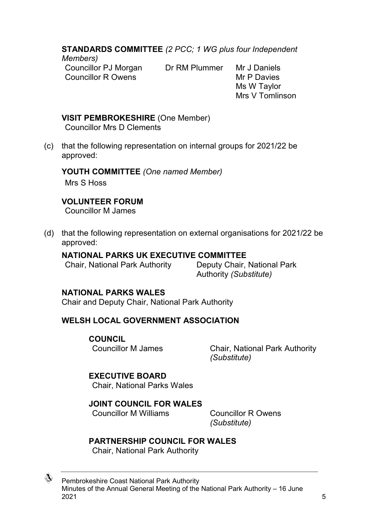## **STANDARDS COMMITTEE** *(2 PCC; 1 WG plus four Independent*

*Members)* Councillor PJ Morgan Dr RM Plummer Mr J Daniels Councillor R Owens Mr P Davies

Ms W Taylor Mrs V Tomlinson

## **VISIT PEMBROKESHIRE** (One Member)

Councillor Mrs D Clements

(c) that the following representation on internal groups for 2021/22 be approved:

#### **YOUTH COMMITTEE** *(One named Member)*

Mrs S Hoss

#### **VOLUNTEER FORUM**

Councillor M James

(d) that the following representation on external organisations for 2021/22 be approved:

#### **NATIONAL PARKS UK EXECUTIVE COMMITTEE**

Chair, National Park Authority Deputy Chair, National Park

Authority *(Substitute)*

#### **NATIONAL PARKS WALES**

Chair and Deputy Chair, National Park Authority

#### **WELSH LOCAL GOVERNMENT ASSOCIATION**

#### **COUNCIL**

Councillor M James Chair, National Park Authority *(Substitute)*

## **EXECUTIVE BOARD**

Chair, National Parks Wales

#### **JOINT COUNCIL FOR WALES**

Councillor M Williams Councillor R Owens

*(Substitute)*

#### **PARTNERSHIP COUNCIL FOR WALES**

Chair, National Park Authority